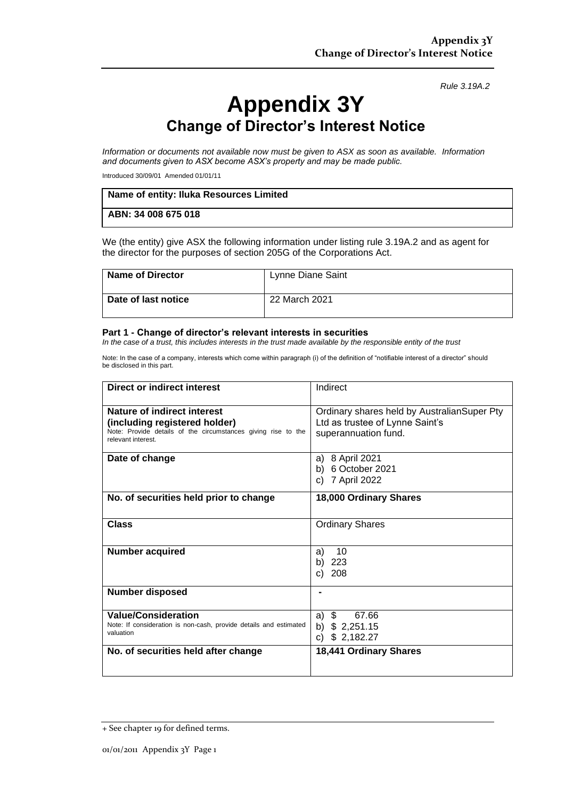*Rule 3.19A.2*

## **Appendix 3Y Change of Director's Interest Notice**

*Information or documents not available now must be given to ASX as soon as available. Information and documents given to ASX become ASX's property and may be made public.*

Introduced 30/09/01 Amended 01/01/11

| Name of entity: Iluka Resources Limited |  |
|-----------------------------------------|--|
| ABN: 34 008 675 018                     |  |

We (the entity) give ASX the following information under listing rule 3.19A.2 and as agent for the director for the purposes of section 205G of the Corporations Act.

| <b>Name of Director</b> | Lynne Diane Saint |
|-------------------------|-------------------|
| Date of last notice     | 22 March 2021     |

## **Part 1 - Change of director's relevant interests in securities**

*In the case of a trust, this includes interests in the trust made available by the responsible entity of the trust*

Note: In the case of a company, interests which come within paragraph (i) of the definition of "notifiable interest of a director" should be disclosed in this part.

| <b>Direct or indirect interest</b>                                                                                                                  | Indirect                                                                                               |
|-----------------------------------------------------------------------------------------------------------------------------------------------------|--------------------------------------------------------------------------------------------------------|
| Nature of indirect interest<br>(including registered holder)<br>Note: Provide details of the circumstances giving rise to the<br>relevant interest. | Ordinary shares held by AustralianSuper Pty<br>Ltd as trustee of Lynne Saint's<br>superannuation fund. |
| Date of change                                                                                                                                      | a) 8 April 2021<br>b) 6 October 2021<br>7 April 2022<br>C)                                             |
| No. of securities held prior to change                                                                                                              | 18,000 Ordinary Shares                                                                                 |
| <b>Class</b>                                                                                                                                        | <b>Ordinary Shares</b>                                                                                 |
| <b>Number acquired</b>                                                                                                                              | a)<br>10<br>b)<br>223<br>208<br>C)                                                                     |
| <b>Number disposed</b>                                                                                                                              |                                                                                                        |
| <b>Value/Consideration</b><br>Note: If consideration is non-cash, provide details and estimated<br>valuation                                        | \$<br>67.66<br>a)<br>b) $$2,251.15$<br>\$2,182.27<br>C)                                                |
| No. of securities held after change                                                                                                                 | 18,441 Ordinary Shares                                                                                 |

<sup>+</sup> See chapter 19 for defined terms.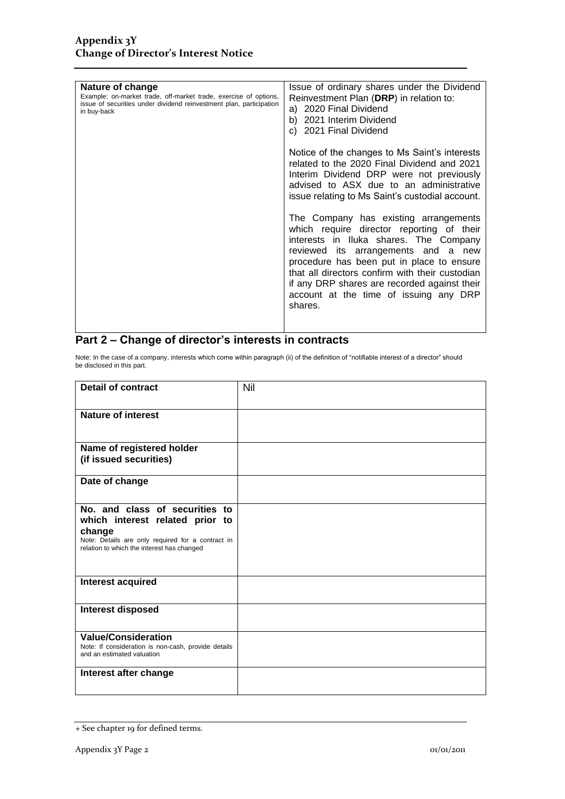| Issue of ordinary shares under the Dividend<br>Reinvestment Plan (DRP) in relation to:<br>a) 2020 Final Dividend<br>b) 2021 Interim Dividend<br>c) 2021 Final Dividend                                                                                                                                                                                                   |
|--------------------------------------------------------------------------------------------------------------------------------------------------------------------------------------------------------------------------------------------------------------------------------------------------------------------------------------------------------------------------|
| Notice of the changes to Ms Saint's interests<br>related to the 2020 Final Dividend and 2021<br>Interim Dividend DRP were not previously<br>advised to ASX due to an administrative<br>issue relating to Ms Saint's custodial account.                                                                                                                                   |
| The Company has existing arrangements<br>which require director reporting of their<br>interests in Iluka shares. The Company<br>reviewed its arrangements and a new<br>procedure has been put in place to ensure<br>that all directors confirm with their custodian<br>if any DRP shares are recorded against their<br>account at the time of issuing any DRP<br>shares. |
|                                                                                                                                                                                                                                                                                                                                                                          |

## **Part 2 – Change of director's interests in contracts**

Note: In the case of a company, interests which come within paragraph (ii) of the definition of "notifiable interest of a director" should be disclosed in this part.

| <b>Detail of contract</b>                                                                                                                                                      | Nil |
|--------------------------------------------------------------------------------------------------------------------------------------------------------------------------------|-----|
| Nature of interest                                                                                                                                                             |     |
| Name of registered holder<br>(if issued securities)                                                                                                                            |     |
| Date of change                                                                                                                                                                 |     |
| No. and class of securities to<br>which interest related prior to<br>change<br>Note: Details are only required for a contract in<br>relation to which the interest has changed |     |
| Interest acquired                                                                                                                                                              |     |
| <b>Interest disposed</b>                                                                                                                                                       |     |
| <b>Value/Consideration</b><br>Note: If consideration is non-cash, provide details<br>and an estimated valuation                                                                |     |
| Interest after change                                                                                                                                                          |     |

<sup>+</sup> See chapter 19 for defined terms.